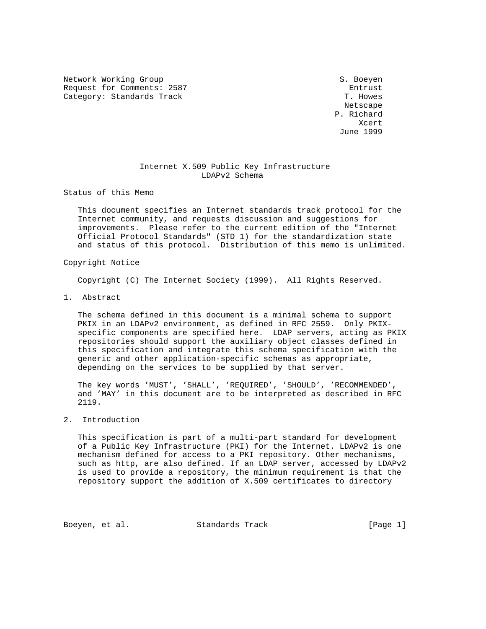Network Working Group S. Boeyen Request for Comments: 2587 Entrust Category: Standards Track T. Howes

 Netscape P. Richard Xcert June 1999

## Internet X.509 Public Key Infrastructure LDAPv2 Schema

Status of this Memo

 This document specifies an Internet standards track protocol for the Internet community, and requests discussion and suggestions for improvements. Please refer to the current edition of the "Internet Official Protocol Standards" (STD 1) for the standardization state and status of this protocol. Distribution of this memo is unlimited.

## Copyright Notice

Copyright (C) The Internet Society (1999). All Rights Reserved.

1. Abstract

 The schema defined in this document is a minimal schema to support PKIX in an LDAPv2 environment, as defined in RFC 2559. Only PKIX specific components are specified here. LDAP servers, acting as PKIX repositories should support the auxiliary object classes defined in this specification and integrate this schema specification with the generic and other application-specific schemas as appropriate, depending on the services to be supplied by that server.

 The key words 'MUST', 'SHALL', 'REQUIRED', 'SHOULD', 'RECOMMENDED', and 'MAY' in this document are to be interpreted as described in RFC 2119.

2. Introduction

 This specification is part of a multi-part standard for development of a Public Key Infrastructure (PKI) for the Internet. LDAPv2 is one mechanism defined for access to a PKI repository. Other mechanisms, such as http, are also defined. If an LDAP server, accessed by LDAPv2 is used to provide a repository, the minimum requirement is that the repository support the addition of X.509 certificates to directory

Boeyen, et al. Standards Track [Page 1]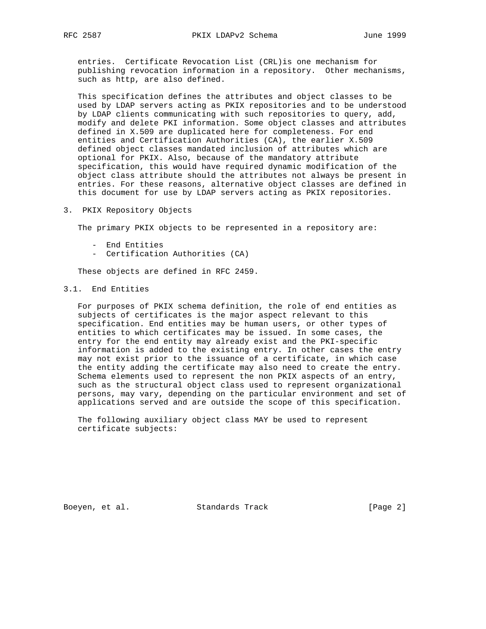entries. Certificate Revocation List (CRL)is one mechanism for publishing revocation information in a repository. Other mechanisms, such as http, are also defined.

 This specification defines the attributes and object classes to be used by LDAP servers acting as PKIX repositories and to be understood by LDAP clients communicating with such repositories to query, add, modify and delete PKI information. Some object classes and attributes defined in X.509 are duplicated here for completeness. For end entities and Certification Authorities (CA), the earlier X.509 defined object classes mandated inclusion of attributes which are optional for PKIX. Also, because of the mandatory attribute specification, this would have required dynamic modification of the object class attribute should the attributes not always be present in entries. For these reasons, alternative object classes are defined in this document for use by LDAP servers acting as PKIX repositories.

3. PKIX Repository Objects

The primary PKIX objects to be represented in a repository are:

- End Entities
- Certification Authorities (CA)

These objects are defined in RFC 2459.

3.1. End Entities

 For purposes of PKIX schema definition, the role of end entities as subjects of certificates is the major aspect relevant to this specification. End entities may be human users, or other types of entities to which certificates may be issued. In some cases, the entry for the end entity may already exist and the PKI-specific information is added to the existing entry. In other cases the entry may not exist prior to the issuance of a certificate, in which case the entity adding the certificate may also need to create the entry. Schema elements used to represent the non PKIX aspects of an entry, such as the structural object class used to represent organizational persons, may vary, depending on the particular environment and set of applications served and are outside the scope of this specification.

 The following auxiliary object class MAY be used to represent certificate subjects:

Boeyen, et al. Standards Track [Page 2]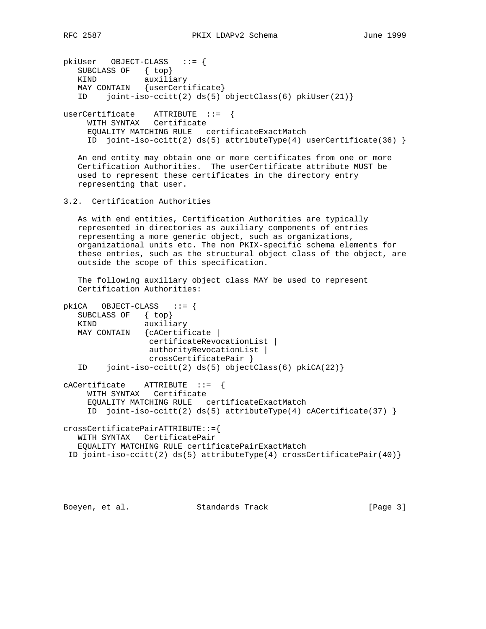pkiUser OBJECT-CLASS ::= { SUBCLASS OF { top} KIND auxiliary MAY CONTAIN {userCertificate} ID joint-iso-ccitt(2) ds(5) objectClass(6) pkiUser(21)} userCertificate ATTRIBUTE ::= { WITH SYNTAX Certificate EQUALITY MATCHING RULE certificateExactMatch ID joint-iso-ccitt(2) ds(5) attributeType(4) userCertificate(36) } An end entity may obtain one or more certificates from one or more Certification Authorities. The userCertificate attribute MUST be used to represent these certificates in the directory entry representing that user. 3.2. Certification Authorities As with end entities, Certification Authorities are typically represented in directories as auxiliary components of entries representing a more generic object, such as organizations, organizational units etc. The non PKIX-specific schema elements for these entries, such as the structural object class of the object, are outside the scope of this specification. The following auxiliary object class MAY be used to represent Certification Authorities: pkiCA OBJECT-CLASS ::= { SUBCLASS OF { top} KIND auxiliary MAY CONTAIN {cACertificate | certificateRevocationList | authorityRevocationList | crossCertificatePair } ID joint-iso-ccitt(2) ds(5) objectClass(6) pkiCA(22)} cACertificate ATTRIBUTE ::= { WITH SYNTAX Certificate EQUALITY MATCHING RULE certificateExactMatch ID joint-iso-ccitt(2) ds(5) attributeType(4) cACertificate(37) } crossCertificatePairATTRIBUTE::={ WITH SYNTAX CertificatePair EQUALITY MATCHING RULE certificatePairExactMatch ID joint-iso-ccitt(2) ds(5) attributeType(4) crossCertificatePair(40)}

Boeyen, et al. Standards Track [Page 3]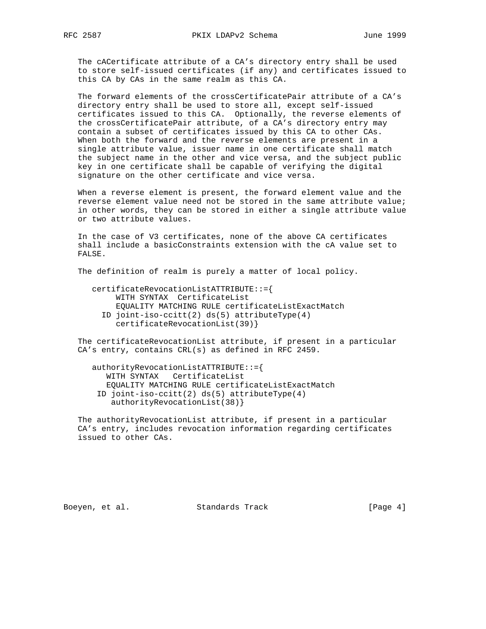The cACertificate attribute of a CA's directory entry shall be used to store self-issued certificates (if any) and certificates issued to this CA by CAs in the same realm as this CA.

 The forward elements of the crossCertificatePair attribute of a CA's directory entry shall be used to store all, except self-issued certificates issued to this CA. Optionally, the reverse elements of the crossCertificatePair attribute, of a CA's directory entry may contain a subset of certificates issued by this CA to other CAs. When both the forward and the reverse elements are present in a single attribute value, issuer name in one certificate shall match the subject name in the other and vice versa, and the subject public key in one certificate shall be capable of verifying the digital signature on the other certificate and vice versa.

 When a reverse element is present, the forward element value and the reverse element value need not be stored in the same attribute value; in other words, they can be stored in either a single attribute value or two attribute values.

 In the case of V3 certificates, none of the above CA certificates shall include a basicConstraints extension with the cA value set to FALSE.

The definition of realm is purely a matter of local policy.

 certificateRevocationListATTRIBUTE::={ WITH SYNTAX CertificateList EQUALITY MATCHING RULE certificateListExactMatch ID joint-iso-ccitt(2) ds(5) attributeType(4) certificateRevocationList(39)}

 The certificateRevocationList attribute, if present in a particular CA's entry, contains CRL(s) as defined in RFC 2459.

 authorityRevocationListATTRIBUTE::={ WITH SYNTAX CertificateList EQUALITY MATCHING RULE certificateListExactMatch ID joint-iso-ccitt(2) ds(5) attributeType(4) authorityRevocationList(38)}

 The authorityRevocationList attribute, if present in a particular CA's entry, includes revocation information regarding certificates issued to other CAs.

Boeyen, et al. Standards Track [Page 4]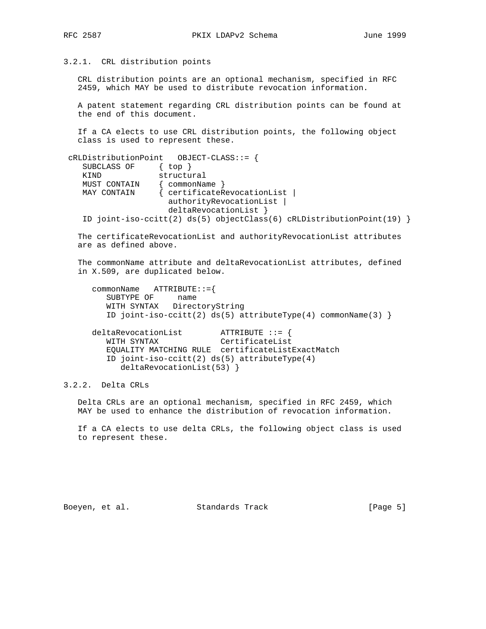## 3.2.1. CRL distribution points

 CRL distribution points are an optional mechanism, specified in RFC 2459, which MAY be used to distribute revocation information.

 A patent statement regarding CRL distribution points can be found at the end of this document.

 If a CA elects to use CRL distribution points, the following object class is used to represent these.

```
 cRLDistributionPoint OBJECT-CLASS::= {
   SUBCLASS OF { top }
    KIND structural
 MUST CONTAIN { commonName }
 MAY CONTAIN { certificateRevocationList |
                    authorityRevocationList |
                    deltaRevocationList }
    ID joint-iso-ccitt(2) ds(5) objectClass(6) cRLDistributionPoint(19) }
```
 The certificateRevocationList and authorityRevocationList attributes are as defined above.

 The commonName attribute and deltaRevocationList attributes, defined in X.509, are duplicated below.

```
 commonName ATTRIBUTE::={
   SUBTYPE OF name
   WITH SYNTAX DirectoryString
   ID joint-iso-ccitt(2) ds(5) attributeType(4) commonName(3) }
```

```
 deltaRevocationList ATTRIBUTE ::= {
WITH SYNTAX CertificateList
        EQUALITY MATCHING RULE certificateListExactMatch
        ID joint-iso-ccitt(2) ds(5) attributeType(4)
           deltaRevocationList(53) }
```
3.2.2. Delta CRLs

 Delta CRLs are an optional mechanism, specified in RFC 2459, which MAY be used to enhance the distribution of revocation information.

 If a CA elects to use delta CRLs, the following object class is used to represent these.

Boeyen, et al. Standards Track [Page 5]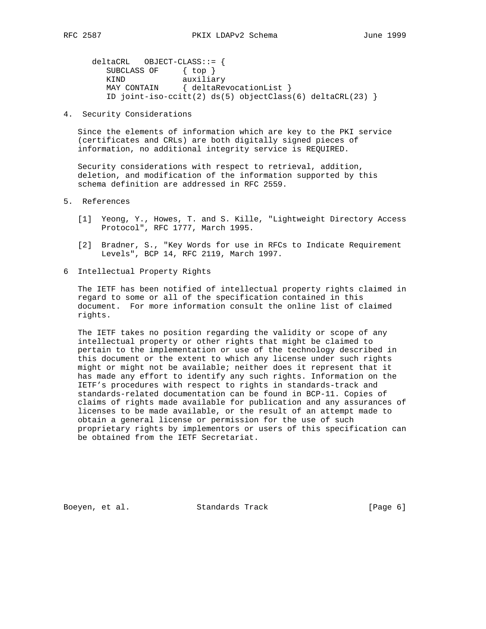```
 deltaCRL OBJECT-CLASS::= {
SUBCLASS OF { top }
 KIND auxiliary
 MAY CONTAIN { deltaRevocationList }
       ID joint-iso-ccitt(2) ds(5) objectClass(6) deltaCRL(23) }
```
4. Security Considerations

 Since the elements of information which are key to the PKI service (certificates and CRLs) are both digitally signed pieces of information, no additional integrity service is REQUIRED.

 Security considerations with respect to retrieval, addition, deletion, and modification of the information supported by this schema definition are addressed in RFC 2559.

- 5. References
	- [1] Yeong, Y., Howes, T. and S. Kille, "Lightweight Directory Access Protocol", RFC 1777, March 1995.
	- [2] Bradner, S., "Key Words for use in RFCs to Indicate Requirement Levels", BCP 14, RFC 2119, March 1997.
- 6 Intellectual Property Rights

 The IETF has been notified of intellectual property rights claimed in regard to some or all of the specification contained in this document. For more information consult the online list of claimed rights.

 The IETF takes no position regarding the validity or scope of any intellectual property or other rights that might be claimed to pertain to the implementation or use of the technology described in this document or the extent to which any license under such rights might or might not be available; neither does it represent that it has made any effort to identify any such rights. Information on the IETF's procedures with respect to rights in standards-track and standards-related documentation can be found in BCP-11. Copies of claims of rights made available for publication and any assurances of licenses to be made available, or the result of an attempt made to obtain a general license or permission for the use of such proprietary rights by implementors or users of this specification can be obtained from the IETF Secretariat.

Boeyen, et al. Standards Track [Page 6]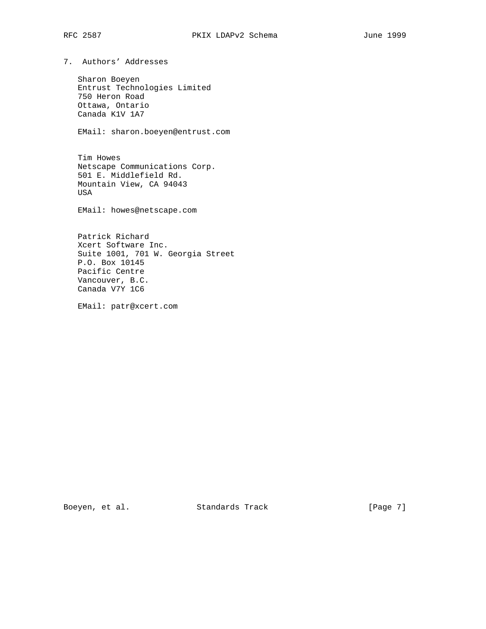7. Authors' Addresses

 Sharon Boeyen Entrust Technologies Limited 750 Heron Road Ottawa, Ontario Canada K1V 1A7

EMail: sharon.boeyen@entrust.com

 Tim Howes Netscape Communications Corp. 501 E. Middlefield Rd. Mountain View, CA 94043 USA

EMail: howes@netscape.com

 Patrick Richard Xcert Software Inc. Suite 1001, 701 W. Georgia Street P.O. Box 10145 Pacific Centre Vancouver, B.C. Canada V7Y 1C6

EMail: patr@xcert.com

Boeyen, et al. Standards Track [Page 7]